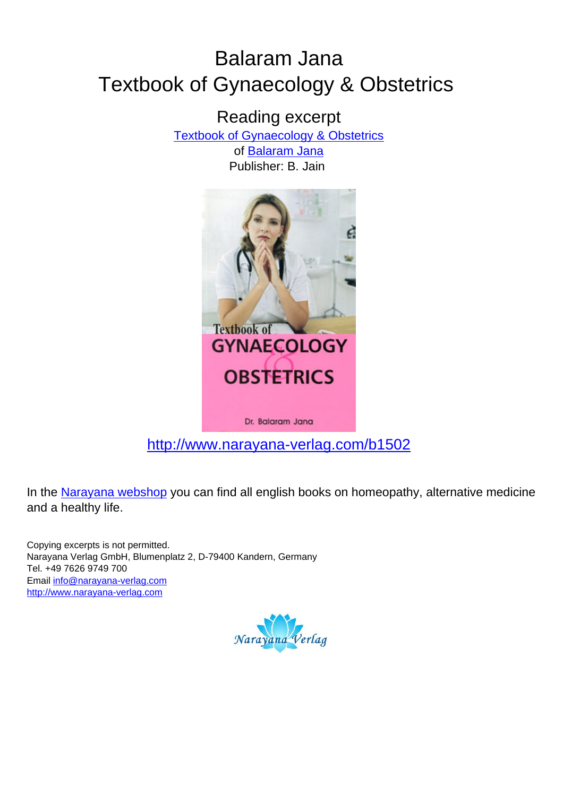# Balaram Jana Textbook of Gynaecology & Obstetrics

Reading excerpt

[Textbook of Gynaecology & Obstetrics](http://www.narayana-verlag.com/Textbook-of-Gynaecology-Obstetrics-Balaram-Jana/b1502/partner/leseprobe)

of [Balaram Jana](http://www.narayana-verlag.com/Balaram-Jana/a407/partner/leseprobe) Publisher: B. Jain



[http://www.narayana-verlag.com/b1502](http://www.narayana-verlag.com/Textbook-of-Gynaecology-Obstetrics-Balaram-Jana/b1502/partner/leseprobe)

In the [Narayana webshop](http://www.narayana-verlag.com/partner/leseprobe) you can find all english books on homeopathy, alternative medicine and a healthy life.

Copying excerpts is not permitted. Narayana Verlag GmbH, Blumenplatz 2, D-79400 Kandern, Germany Tel. +49 7626 9749 700 Email [info@narayana-verlag.com](mailto:info@narayana-verlag.com) [http://www.narayana-verlag.com](http://www.narayana-verlag.com/partner/leseprobe)

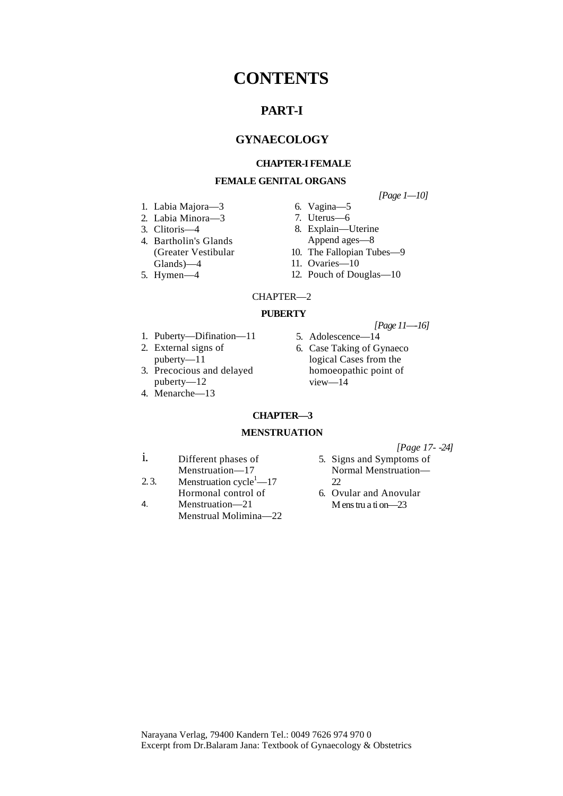# **CONTENTS**

# **PART-I**

# **GYNAECOLOGY**

# **CHAPTER-I FEMALE**

# **FEMALE GENITAL ORGANS**

- 1. Labia Majora—3
- 2. Labia Minora—3
- 3. Clitoris—4
- 4. Bartholin's Glands (Greater Vestibular Glands)—4
- 5. Hymen—4
- *[Page 1—10]*
- 6. Vagina—5 7. Uterus—6
- 8. Explain—Uterine Append ages—8
- 10. The Fallopian Tubes—9
- 11. Ovaries—10
- 12. Pouch of Douglas—10

#### CHAPTER—2

#### **PUBERTY**

- 1. Puberty—Difination—11
- 2. External signs of puberty—11
- puberty—12
- 4. Menarche—13
- *[Page 11—-16]*
- 5. Adolescence—14
- 6. Case Taking of Gynaeco logical Cases from the homoeopathic point of view—14
- **CHAPTER—3**

#### **MENSTRUATION**

*[Page 17- -24]*

- i. Different phases of Menstruation—17
- 2. 3. Menstruation  $cycle^1$ —17 Hormonal control of
- 4. Menstruation—21 Menstrual Molimina—22
- 5. Signs and Symptoms of Normal Menstruation—  $\mathfrak{D}$
- 6. Ovular and Anovular M ens tru a ti on—23
- 
- 
- 
- 
- 3. Precocious and delayed
-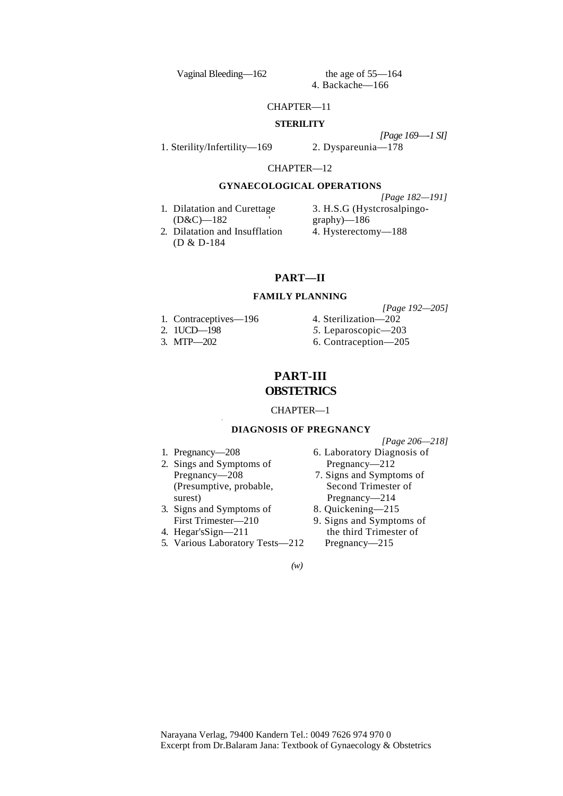Vaginal Bleeding—162 the age of 55—164

4. Backache—166

#### CHAPTER—11

#### **STERILITY**

1. Sterility/Infertility—169 2. Dyspareunia—178

*[Page 169—-1 SI]* 

CHAPTER—12

#### **GYNAECOLOGICAL OPERATIONS**

1. Dilatation and Curettage 3. H.S.G (Hystcrosalpingo-(D&C)—182 ' graphy)—186

*[Page 182—191]*

2. Dilatation and Insufflation 4. Hysterectomy-188 (D & D-184

# **PART—II**

#### **FAMILY PLANNING**

- 
- 
- 

*[Page 192—205]* 1. Contraceptives—196 4. Sterilization—202 2. 1UCD—198 *5.* Leparoscopic—203 3. MTP—202 6. Contraception—205

# **PART-III OBSTETRICS**

#### CHAPTER—1

#### **DIAGNOSIS OF PREGNANCY**

*[Page 206—218]*

- 
- 2. Sings and Symptoms of Pregnancy—212 (Presumptive, probable, Second Trimester of surest) Pregnancy—214

,

- 3. Signs and Symptoms of 8. Quickening—215
- 
- 5. Various Laboratory Tests—212 Pregnancy—215

1. Pregnancy—208 6. Laboratory Diagnosis of

- 
- Pregnancy—208 7. Signs and Symptoms of
	-
- First Trimester—210 9. Signs and Symptoms of<br>4. Hegar's Sign—211 the third Trimester of the third Trimester of

*(w)*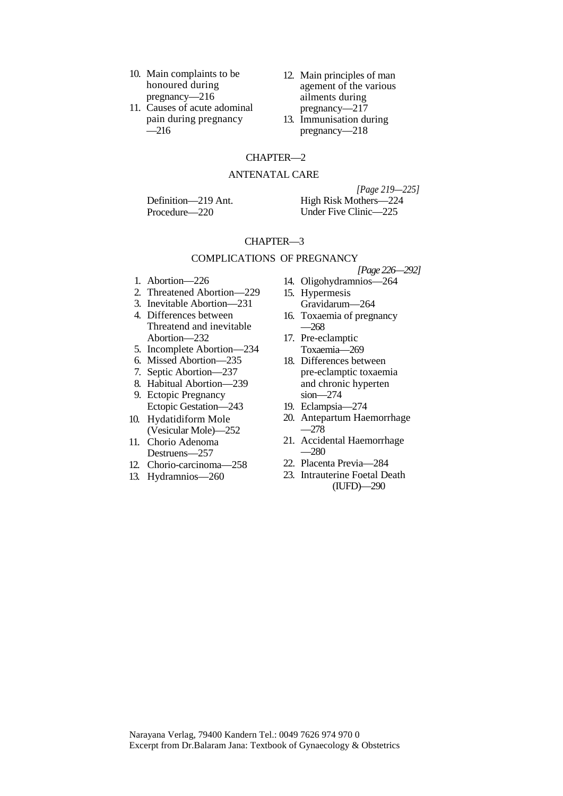- 10. Main complaints to be honoured during pregnancy—216
- 11. Causes of acute adominal pain during pregnancy  $-216$
- 12. Main principles of man agement of the various ailments during pregnancy—217
- 13. Immunisation during pregnancy—218

## CHAPTER—2

# ANTENATAL CARE

Definition—219 Ant. Procedure—220

*[Page 219—225]*  High Risk Mothers—224 Under Five Clinic—225

#### CHAPTER—3

#### COMPLICATIONS OF PREGNANCY

- 1. Abortion—226
- 2. Threatened Abortion—229
- 3. Inevitable Abortion—231
- 4. Differences between Threatend and inevitable Abortion—232
- 5. Incomplete Abortion—234
- 6. Missed Abortion—235
- 7. Septic Abortion—237
- 8. Habitual Abortion—239
- 9. Ectopic Pregnancy Ectopic Gestation—243
- 10. Hydatidiform Mole (Vesicular Mole)—252
- 11. Chorio Adenoma Destruens—257
- 12. Chorio-carcinoma—258
- 13. Hydramnios—260
- *[Page 226—292]*
- 14. Oligohydramnios—264
- 15. Hypermesis Gravidarum—264
- 16. Toxaemia of pregnancy —268
- 17. Pre-eclamptic Toxaemia—269
- 18. Differences between pre-eclamptic toxaemia and chronic hyperten sion—274
- 19. Eclampsia—274
- 20. Antepartum Haemorrhage  $-278$
- 21. Accidental Haemorrhage  $-280$
- 22. Placenta Previa—284
- 23. Intrauterine Foetal Death (IUFD)—290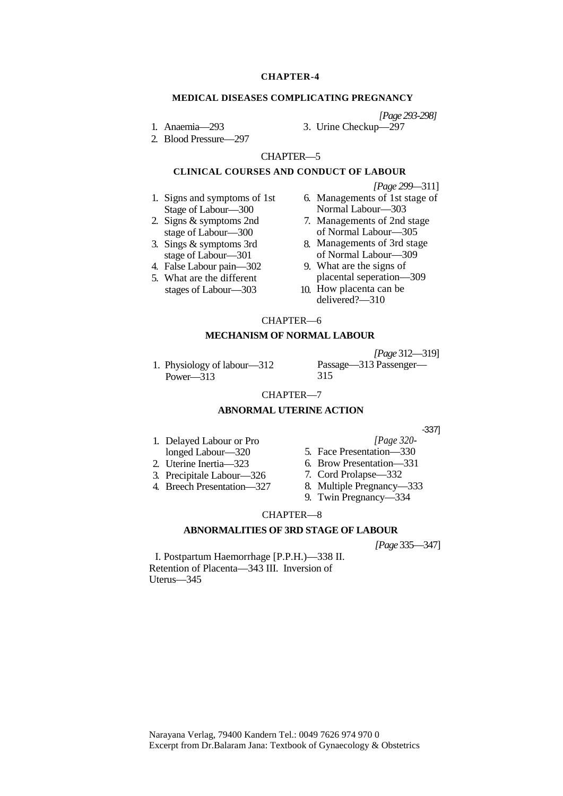#### **CHAPTER-4**

#### **MEDICAL DISEASES COMPLICATING PREGNANCY**

*[Page 293-298]*

- 1. Anaemia—293
- 2. Blood Pressure—297
- 3. Urine Checkup—297
- 

#### CHAPTER—5

# **CLINICAL COURSES AND CONDUCT OF LABOUR**

- 1. Signs and symptoms of 1st Stage of Labour—300
- 2. Signs & symptoms 2nd stage of Labour—300
- 3. Sings  $&$  symptoms 3rd stage of Labour—301
- 4. False Labour pain—302
- 5. What are the different stages of Labour—303
- *[Page 299—*311]
- Managements of 1st stage of Normal Labour—303
- 7. Managements of 2nd stage of Normal Labour—305
- Managements of 3rd stage of Normal Labour—309
- What are the signs of placental seperation—309
- 10. How placenta can be delivered?—310

#### CHAPTER—6

#### **MECHANISM OF NORMAL LABOUR**

1. Physiology of labour—312 Power—313

*[Page* 312—319]

Passage—313 Passenger— 315

# CHAPTER—7

# **ABNORMAL UTERINE ACTION**

- 1. Delayed Labour or Pro longed Labour—320
- 2. Uterine Inertia—323
- 3. Precipitale Labour—326
- 4. Breech Presentation—327
- - *[Page 320-*
- 5. Face Presentation—330
- 6. Brow Presentation—331
- 7. Cord Prolapse—332
- 8. Multiple Pregnancy—333
- 9. Twin Pregnancy—334

## CHAPTER—8

# **ABNORMALITIES OF 3RD STAGE OF LABOUR**

*[Page* 335—347]

I. Postpartum Haemorrhage [P.P.H.)—338 II. Retention of Placenta—343 III. Inversion of Uterus—345

-337]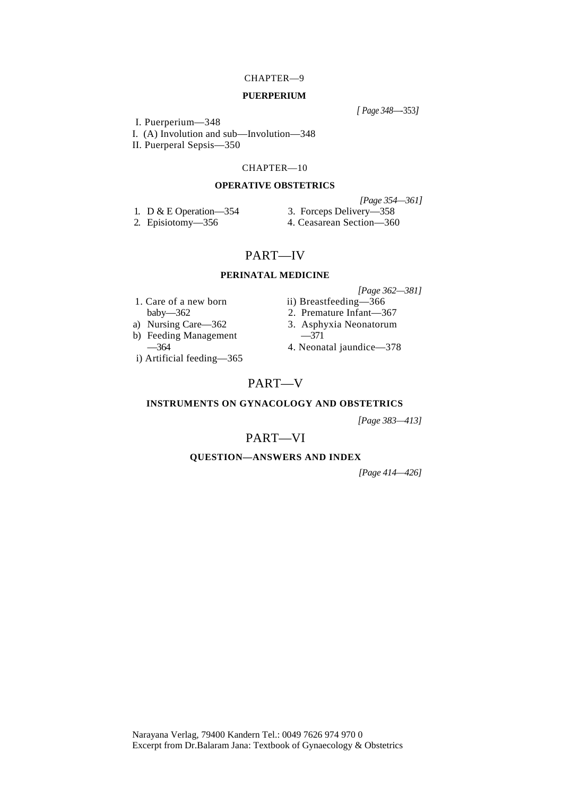# CHAPTER—9

#### **PUERPERIUM**

*[ Page 348—*-353*]*

I. Puerperium—348

I. (A) Involution and sub—Involution—348

II. Puerperal Sepsis—350

#### CHAPTER—10

#### **OPERATIVE OBSTETRICS**

*[Page 354—361]*

1. D & E Operation—354 3. Forceps Delivery—358<br>
2. Episiotomy—356 4. Ceasarean Section—360

4. Ceasarean Section—360

# PART—IV

# **PERINATAL MEDICINE**

- 1. Care of a new born ii) Breastfeeding-366
- 
- a) Nursing Care—362 3. Asphyxia Neonatorum<br>b) Feeding Management —371
- b) Feeding Management<br>
—364
- i) Artificial feeding—365
- *[Page 362—381]*
- baby—362 2. Premature Infant—367
	-
	-
	- —364 4. Neonatal jaundice—378

# PART—V

#### **INSTRUMENTS ON GYNACOLOGY AND OBSTETRICS**

*[Page 383—413]*

# PART—VI

#### **QUESTION—ANSWERS AND INDEX**

*[Page 414—426]*